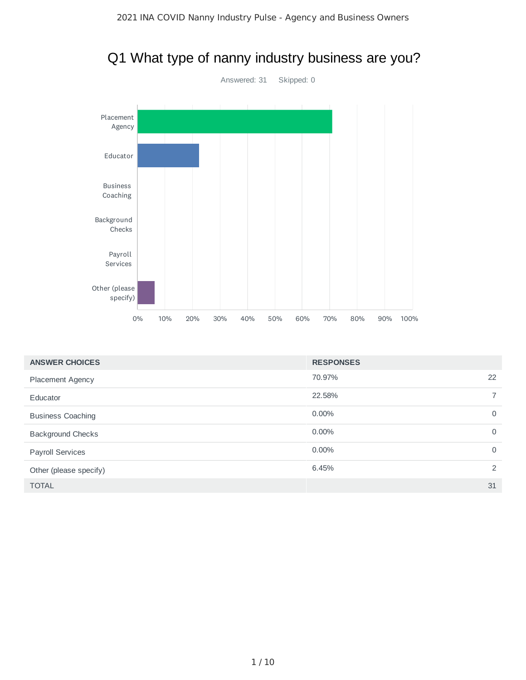

### Q1 What type of nanny industry business are you?

| <b>ANSWER CHOICES</b>    | <b>RESPONSES</b> |                |
|--------------------------|------------------|----------------|
| <b>Placement Agency</b>  | 70.97%           | 22             |
| Educator                 | 22.58%           | $\overline{7}$ |
| <b>Business Coaching</b> | $0.00\%$         | $\overline{0}$ |
| <b>Background Checks</b> | $0.00\%$         | $\Omega$       |
| <b>Payroll Services</b>  | $0.00\%$         | $\Omega$       |
| Other (please specify)   | 6.45%            | 2              |
| <b>TOTAL</b>             |                  | 31             |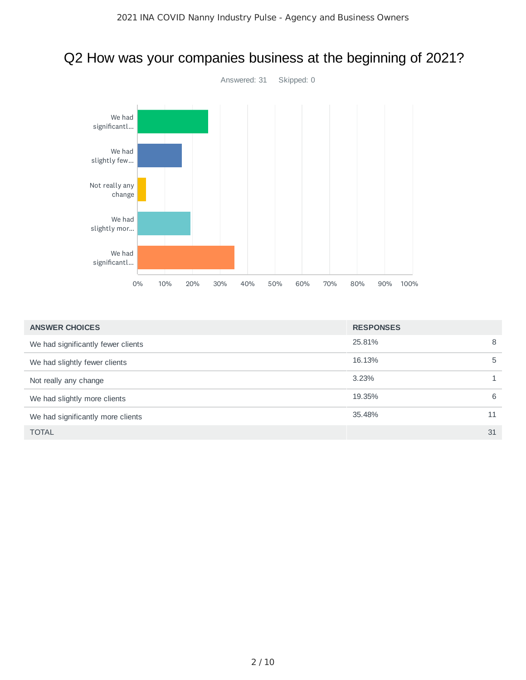

# Q2 How was your companies business at the beginning of 2021?

| <b>ANSWER CHOICES</b>              | <b>RESPONSES</b> |    |
|------------------------------------|------------------|----|
| We had significantly fewer clients | 25,81%           | 8  |
| We had slightly fewer clients      | 16.13%           | 5  |
| Not really any change              | 3.23%            |    |
| We had slightly more clients       | 19.35%           | 6  |
| We had significantly more clients  | 35.48%           | 11 |
| <b>TOTAL</b>                       |                  | 31 |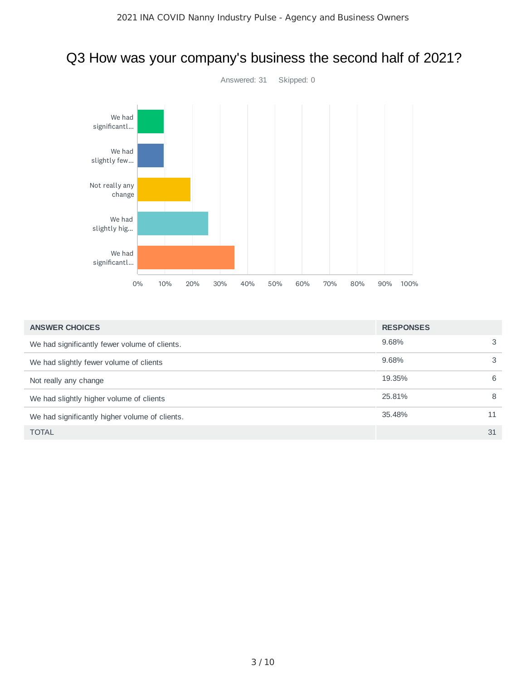

### Q3 How was your company's business the second half of 2021?

| <b>ANSWER CHOICES</b>                          | <b>RESPONSES</b> |    |
|------------------------------------------------|------------------|----|
| We had significantly fewer volume of clients.  | 9.68%            | 3  |
| We had slightly fewer volume of clients        | 9.68%            | 3  |
| Not really any change                          | 19.35%           | 6  |
| We had slightly higher volume of clients       | 25.81%           | 8  |
| We had significantly higher volume of clients. | 35.48%           | 11 |
| <b>TOTAL</b>                                   |                  | 31 |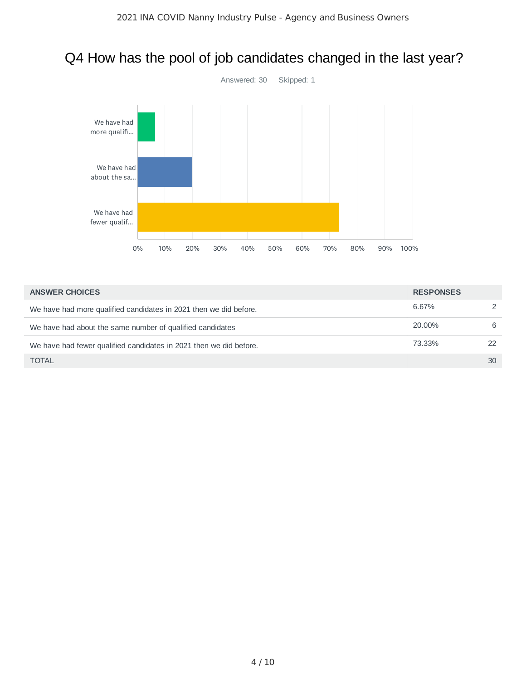

### Q4 How has the pool of job candidates changed in the last year?

| <b>ANSWER CHOICES</b>                                              | <b>RESPONSES</b> |               |
|--------------------------------------------------------------------|------------------|---------------|
| We have had more qualified candidates in 2021 then we did before.  | 6.67%            | $\mathcal{P}$ |
| We have had about the same number of qualified candidates          | 20.00%           | 6             |
| We have had fewer qualified candidates in 2021 then we did before. | 73.33%           | 22            |
| <b>TOTAL</b>                                                       |                  | 30            |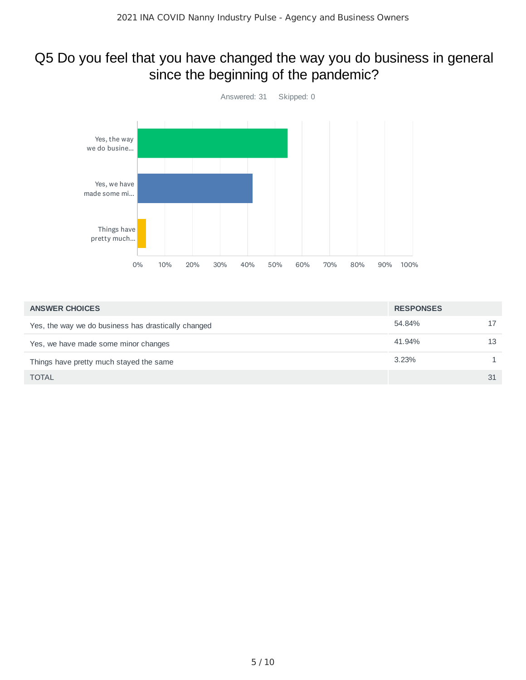#### Q5 Do you feel that you have changed the way you do business in general since the beginning of the pandemic?



| <b>ANSWER CHOICES</b>                               | <b>RESPONSES</b> |    |
|-----------------------------------------------------|------------------|----|
| Yes, the way we do business has drastically changed | 54.84%           | 17 |
| Yes, we have made some minor changes                | 41.94%           | 13 |
| Things have pretty much stayed the same             | 3.23%            |    |
| <b>TOTAL</b>                                        |                  | 31 |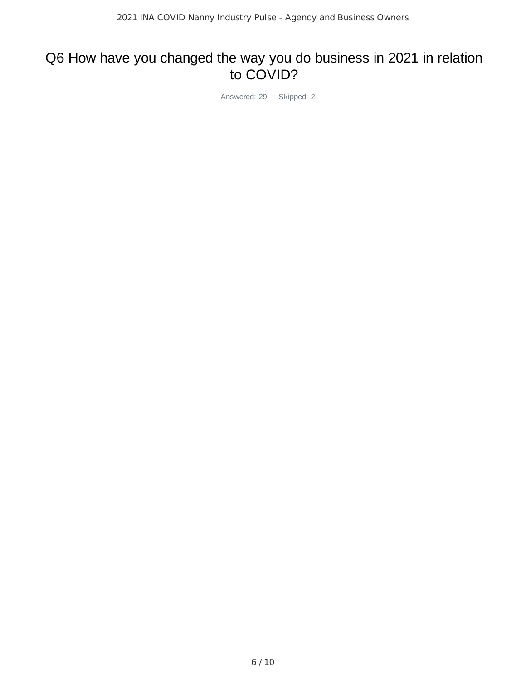#### Q6 How have you changed the way you do business in 2021 in relation to COVID?

Answered: 29 Skipped: 2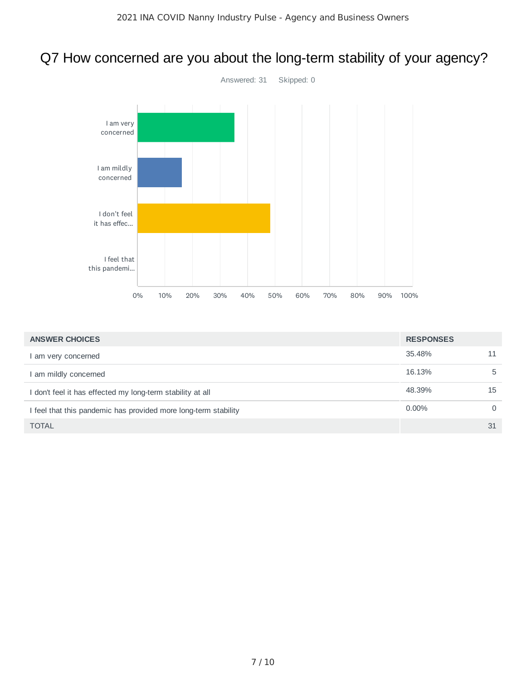### Q7 How concerned are you about the long-term stability of your agency?



| <b>ANSWER CHOICES</b>                                           | <b>RESPONSES</b> |          |
|-----------------------------------------------------------------|------------------|----------|
| am very concerned                                               | 35.48%           | 11       |
| I am mildly concerned                                           | 16.13%           | 5        |
| I don't feel it has effected my long-term stability at all      | 48.39%           | 15       |
| I feel that this pandemic has provided more long-term stability | $0.00\%$         | $\Omega$ |
| <b>TOTAL</b>                                                    |                  | 31       |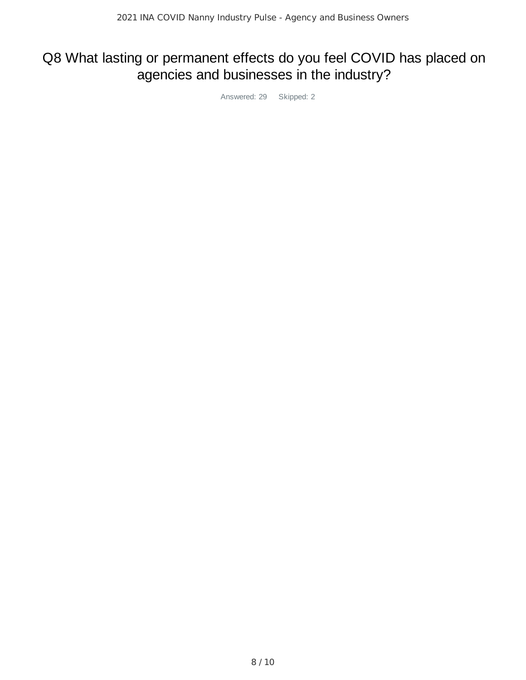## Q8 What lasting or permanent effects do you feel COVID has placed on agencies and businesses in the industry?

Answered: 29 Skipped: 2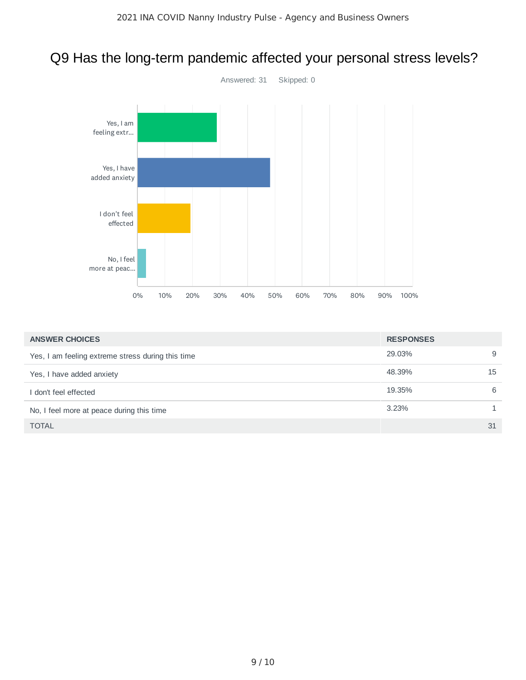### Q9 Has the long-term pandemic affected your personal stress levels?



| <b>ANSWER CHOICES</b>                             | <b>RESPONSES</b> |    |
|---------------------------------------------------|------------------|----|
| Yes, I am feeling extreme stress during this time | 29.03%           | 9  |
| Yes, I have added anxiety                         | 48.39%           | 15 |
| don't feel effected                               | 19.35%           | 6  |
| No, I feel more at peace during this time         | 3.23%            |    |
| <b>TOTAL</b>                                      |                  | 31 |